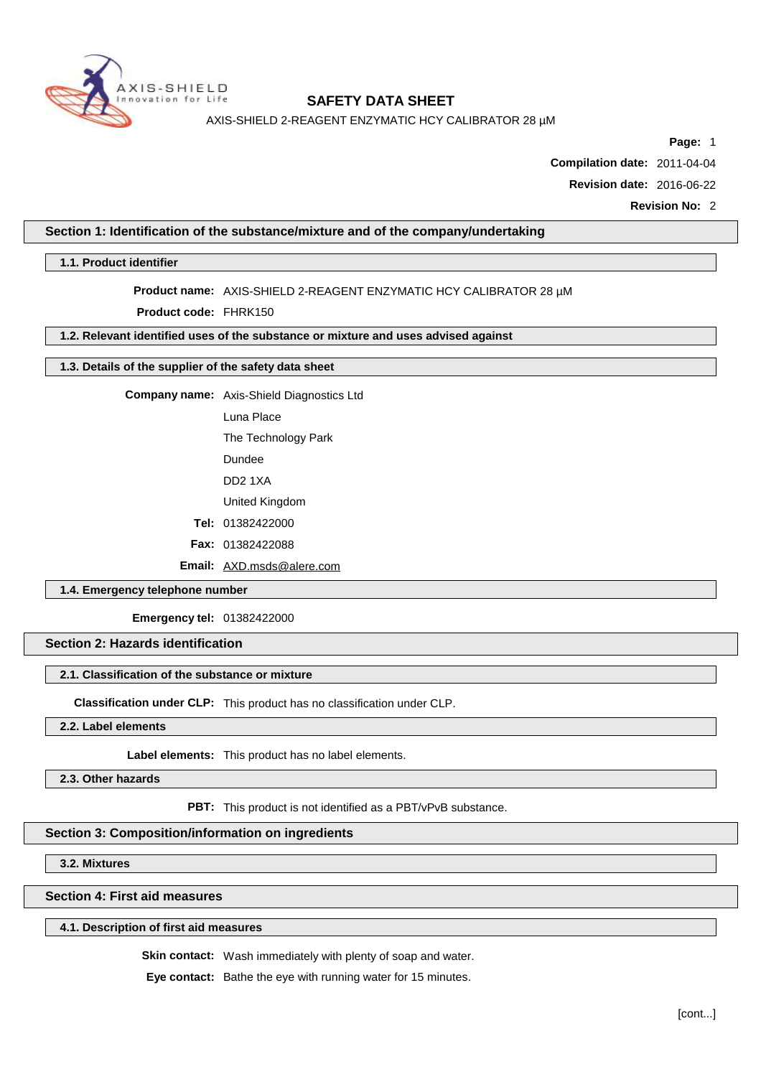

AXIS-SHIELD 2-REAGENT ENZYMATIC HCY CALIBRATOR 28 µM

**Page:** 1

**Compilation date:** 2011-04-04

**Revision date:** 2016-06-22

**Revision No:** 2

### **Section 1: Identification of the substance/mixture and of the company/undertaking**

**1.1. Product identifier**

## **Product name:** AXIS-SHIELD 2-REAGENT ENZYMATIC HCY CALIBRATOR 28 µM

**Product code:** FHRK150

# **1.2. Relevant identified uses of the substance or mixture and uses advised against**

## **1.3. Details of the supplier of the safety data sheet**

**Company name:** Axis-Shield Diagnostics Ltd

Luna Place

The Technology Park

Dundee

DD2 1XA

United Kingdom

**Tel:** 01382422000

**Fax:** 01382422088

**Email:** [AXD.msds@alere.com](mailto:AXD.msds@alere.com)

### **1.4. Emergency telephone number**

**Emergency tel:** 01382422000

### **Section 2: Hazards identification**

#### **2.1. Classification of the substance or mixture**

**Classification under CLP:** This product has no classification under CLP.

**2.2. Label elements**

**Label elements:** This product has no label elements.

**2.3. Other hazards**

**PBT:** This product is not identified as a PBT/vPvB substance.

## **Section 3: Composition/information on ingredients**

**3.2. Mixtures**

**Section 4: First aid measures**

## **4.1. Description of first aid measures**

**Skin contact:** Wash immediately with plenty of soap and water.

**Eye contact:** Bathe the eye with running water for 15 minutes.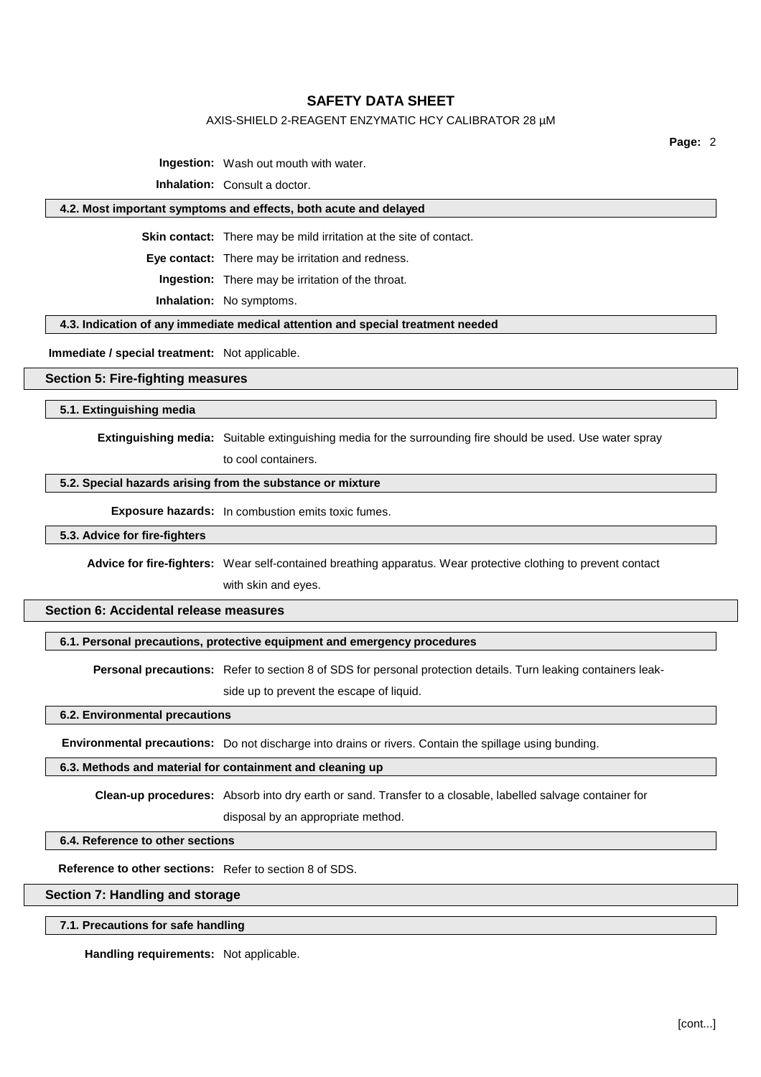### AXIS-SHIELD 2-REAGENT ENZYMATIC HCY CALIBRATOR 28 µM

**Page:** 2

**Ingestion:** Wash out mouth with water.

**Inhalation:** Consult a doctor.

### **4.2. Most important symptoms and effects, both acute and delayed**

**Skin contact:** There may be mild irritation at the site of contact.

**Eye contact:** There may be irritation and redness.

**Ingestion:** There may be irritation of the throat.

**Inhalation:** No symptoms.

#### **4.3. Indication of any immediate medical attention and special treatment needed**

**Immediate / special treatment:** Not applicable.

#### **Section 5: Fire-fighting measures**

**5.1. Extinguishing media**

**Extinguishing media:** Suitable extinguishing media for the surrounding fire should be used. Use water spray

to cool containers.

### **5.2. Special hazards arising from the substance or mixture**

**Exposure hazards:** In combustion emits toxic fumes.

#### **5.3. Advice for fire-fighters**

**Advice for fire-fighters:** Wear self-contained breathing apparatus. Wear protective clothing to prevent contact with skin and eyes.

# **Section 6: Accidental release measures**

#### **6.1. Personal precautions, protective equipment and emergency procedures**

**Personal precautions:** Refer to section 8 of SDS for personal protection details. Turn leaking containers leakside up to prevent the escape of liquid.

#### **6.2. Environmental precautions**

**Environmental precautions:** Do not discharge into drains or rivers. Contain the spillage using bunding.

#### **6.3. Methods and material for containment and cleaning up**

**Clean-up procedures:** Absorb into dry earth or sand. Transfer to a closable, labelled salvage container for

disposal by an appropriate method.

# **6.4. Reference to other sections**

**Reference to other sections:** Refer to section 8 of SDS.

# **Section 7: Handling and storage**

**7.1. Precautions for safe handling**

**Handling requirements:** Not applicable.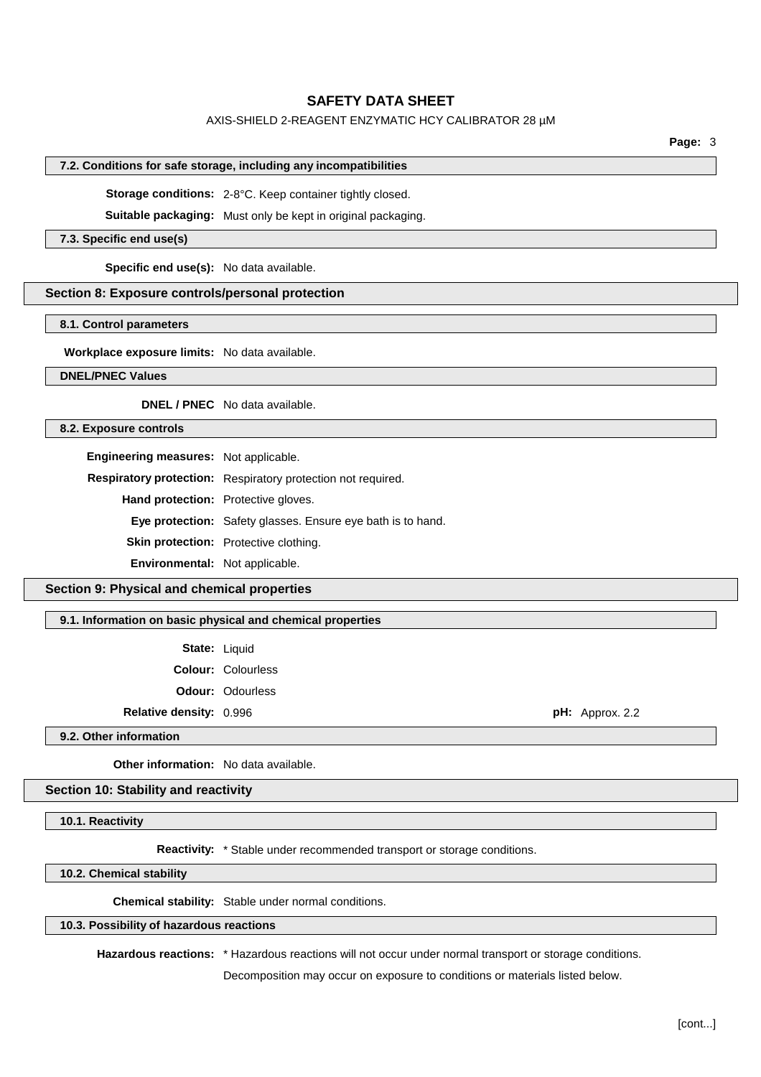### AXIS-SHIELD 2-REAGENT ENZYMATIC HCY CALIBRATOR 28 µM

**Page:** 3

#### **7.2. Conditions for safe storage, including any incompatibilities**

**Storage conditions:** 2-8°C. Keep container tightly closed.

**Suitable packaging:** Must only be kept in original packaging.

#### **7.3. Specific end use(s)**

**Specific end use(s):** No data available.

### **Section 8: Exposure controls/personal protection**

### **8.1. Control parameters**

**Workplace exposure limits:** No data available.

### **DNEL/PNEC Values**

**DNEL / PNEC** No data available.

### **8.2. Exposure controls**

**Engineering measures:** Not applicable.

**Respiratory protection:** Respiratory protection not required.

**Hand protection:** Protective gloves.

**Eye protection:** Safety glasses. Ensure eye bath is to hand.

**Skin protection:** Protective clothing.

**Environmental:** Not applicable.

## **Section 9: Physical and chemical properties**

**9.1. Information on basic physical and chemical properties**

| State: | Liquid |
|--------|--------|
|--------|--------|

**Colour:** Colourless **Odour:** Odourless

**Relative density:** 0.996 **pH:** Approx. 2.2

**9.2. Other information**

**Other information:** No data available.

### **Section 10: Stability and reactivity**

**10.1. Reactivity**

**Reactivity:** \* Stable under recommended transport or storage conditions.

**10.2. Chemical stability**

**Chemical stability:** Stable under normal conditions.

# **10.3. Possibility of hazardous reactions**

**Hazardous reactions:** \* Hazardous reactions will not occur under normal transport or storage conditions.

Decomposition may occur on exposure to conditions or materials listed below.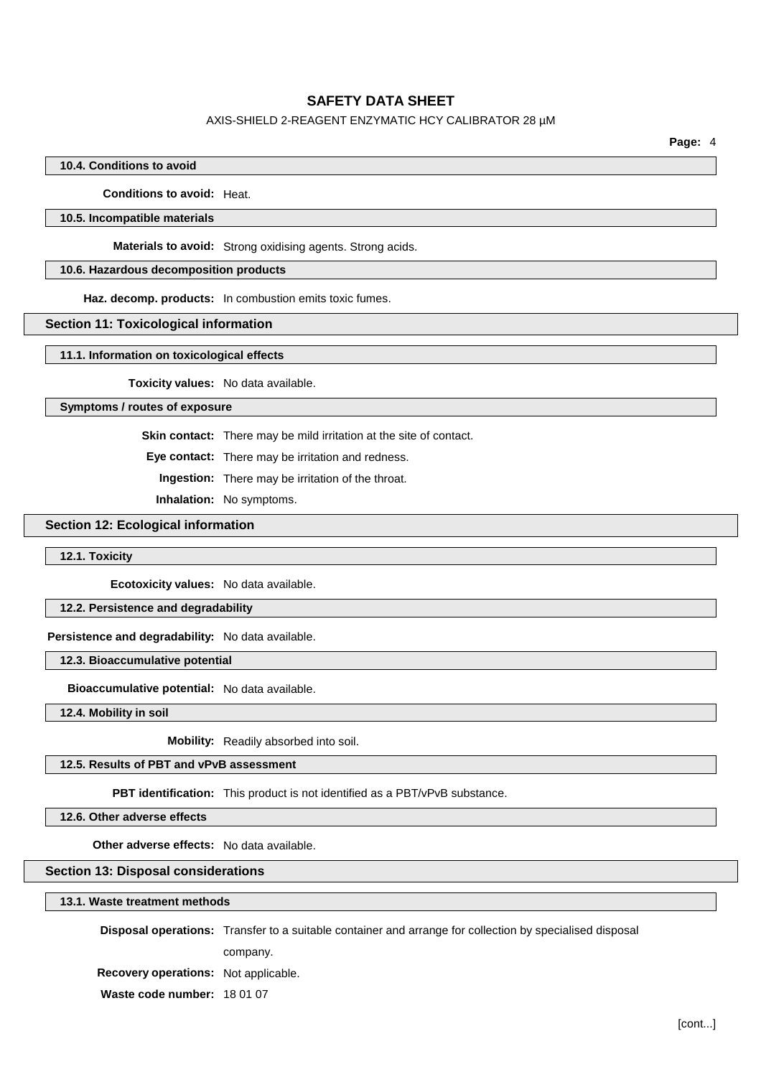### AXIS-SHIELD 2-REAGENT ENZYMATIC HCY CALIBRATOR 28 µM

**Page:** 4

#### **10.4. Conditions to avoid**

**Conditions to avoid:** Heat.

### **10.5. Incompatible materials**

**Materials to avoid:** Strong oxidising agents. Strong acids.

# **10.6. Hazardous decomposition products**

**Haz. decomp. products:** In combustion emits toxic fumes.

#### **Section 11: Toxicological information**

**11.1. Information on toxicological effects**

**Toxicity values:** No data available.

#### **Symptoms / routes of exposure**

**Skin contact:** There may be mild irritation at the site of contact.

**Eye contact:** There may be irritation and redness.

**Ingestion:** There may be irritation of the throat.

**Inhalation:** No symptoms.

# **Section 12: Ecological information**

#### **12.1. Toxicity**

**Ecotoxicity values:** No data available.

### **12.2. Persistence and degradability**

**Persistence and degradability:** No data available.

**12.3. Bioaccumulative potential**

**Bioaccumulative potential:** No data available.

**12.4. Mobility in soil**

**Mobility:** Readily absorbed into soil.

# **12.5. Results of PBT and vPvB assessment**

**PBT identification:** This product is not identified as a PBT/vPvB substance.

**12.6. Other adverse effects**

**Other adverse effects:** No data available.

#### **Section 13: Disposal considerations**

# **13.1. Waste treatment methods**

**Disposal operations:** Transfer to a suitable container and arrange for collection by specialised disposal

company.

**Recovery operations:** Not applicable.

**Waste code number:** 18 01 07